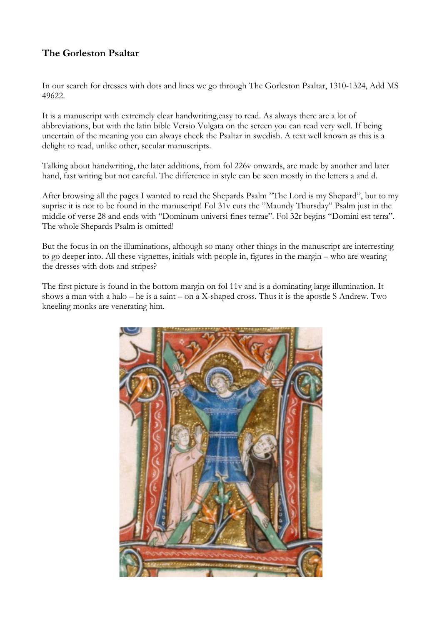## **The Gorleston Psaltar**

In our search for dresses with dots and lines we go through The Gorleston Psaltar, 1310-1324, Add MS 49622.

It is a manuscript with extremely clear handwriting,easy to read. As always there are a lot of abbreviations, but with the latin bible Versio Vulgata on the screen you can read very well. If being uncertain of the meaning you can always check the Psaltar in swedish. A text well known as this is a delight to read, unlike other, secular manuscripts.

Talking about handwriting, the later additions, from fol 226v onwards, are made by another and later hand, fast writing but not careful. The difference in style can be seen mostly in the letters a and d.

After browsing all the pages I wanted to read the Shepards Psalm "The Lord is my Shepard", but to my suprise it is not to be found in the manuscript! Fol 31v cuts the "Maundy Thursday" Psalm just in the middle of verse 28 and ends with "Dominum universi fines terrae". Fol 32r begins "Domini est terra". The whole Shepards Psalm is omitted!

But the focus in on the illuminations, although so many other things in the manuscript are interresting to go deeper into. All these vignettes, initials with people in, figures in the margin – who are wearing the dresses with dots and stripes?

The first picture is found in the bottom margin on fol 11v and is a dominating large illumination. It shows a man with a halo – he is a saint – on a X-shaped cross. Thus it is the apostle S Andrew. Two kneeling monks are venerating him.

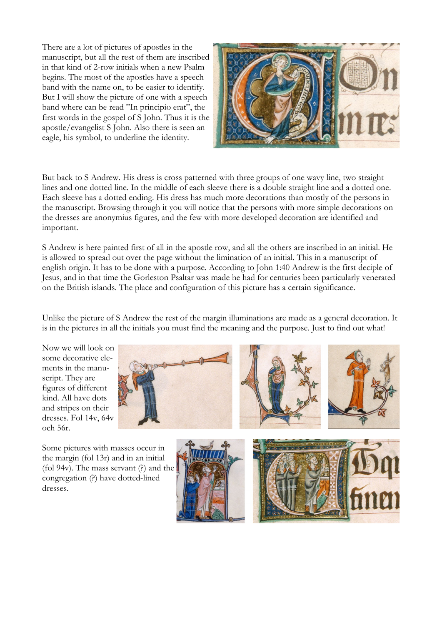There are a lot of pictures of apostles in the manuscript, but all the rest of them are inscribed in that kind of 2-row initials when a new Psalm begins. The most of the apostles have a speech band with the name on, to be easier to identify. But I will show the picture of one with a speech band where can be read "In principio erat", the first words in the gospel of S John. Thus it is the apostle/evangelist S John. Also there is seen an eagle, his symbol, to underline the identity.



But back to S Andrew. His dress is cross patterned with three groups of one wavy line, two straight lines and one dotted line. In the middle of each sleeve there is a double straight line and a dotted one. Each sleeve has a dotted ending. His dress has much more decorations than mostly of the persons in the manuscript. Browsing through it you will notice that the persons with more simple decorations on the dresses are anonymius figures, and the few with more developed decoration are identified and important.

S Andrew is here painted first of all in the apostle row, and all the others are inscribed in an initial. He is allowed to spread out over the page without the limination of an initial. This in a manuscript of english origin. It has to be done with a purpose. According to John 1:40 Andrew is the first deciple of Jesus, and in that time the Gorleston Psaltar was made he had for centuries been particularly venerated on the British islands. The place and configuration of this picture has a certain significance.

Unlike the picture of S Andrew the rest of the margin illuminations are made as a general decoration. It is in the pictures in all the initials you must find the meaning and the purpose. Just to find out what!

Now we will look on some decorative elements in the manuscript. They are figures of different kind. All have dots and stripes on their dresses. Fol 14v, 64v och 56r.



Some pictures with masses occur in the margin (fol 13r) and in an initial (fol 94v). The mass servant  $(?)$  and the congregation (?) have dotted-lined dresses.